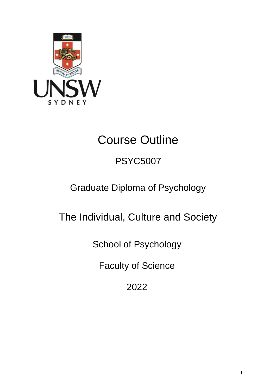

# Course Outline

# PSYC5007

# Graduate Diploma of Psychology

The Individual, Culture and Society

School of Psychology

Faculty of Science

2022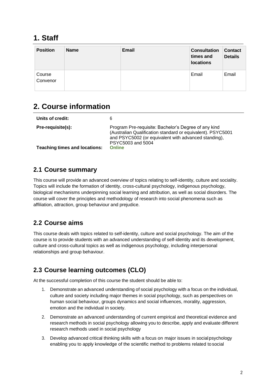## **1. Staff**

| <b>Position</b>    | <b>Name</b> | Email | <b>Consultation</b><br>times and<br><b>locations</b> | <b>Contact</b><br><b>Details</b> |
|--------------------|-------------|-------|------------------------------------------------------|----------------------------------|
| Course<br>Convenor |             |       | Email                                                | Email                            |

# **2. Course information**

| Units of credit:                                          | 6                                                                                                                                                                                                                 |
|-----------------------------------------------------------|-------------------------------------------------------------------------------------------------------------------------------------------------------------------------------------------------------------------|
| Pre-requisite(s):<br><b>Teaching times and locations:</b> | Program Pre-requisite: Bachelor's Degree of any kind<br>(Australian Qualification standard or equivalent). PSYC5001<br>and PSYC5002 (or equivalent with advanced standing),<br>PSYC5003 and 5004<br><b>Online</b> |

#### **2.1 Course summary**

This course will provide an advanced overview of topics relating to self-identity, culture and sociality. Topics will include the formation of identity, cross-cultural psychology, indigenous psychology, biological mechanisms underpinning social learning and attribution, as well as social disorders. The course will cover the principles and methodology of research into social phenomena such as affiliation, attraction, group behaviour and prejudice.

## **2.2 Course aims**

This course deals with topics related to self-identity, culture and social psychology. The aim of the course is to provide students with an advanced understanding of self-identity and its development, culture and cross-cultural topics as well as indigenous psychology, including interpersonal relationships and group behaviour.

## **2.3 Course learning outcomes (CLO)**

At the successful completion of this course the student should be able to:

- 1. Demonstrate an advanced understanding of social psychology with a focus on the individual, culture and society including major themes in social psychology, such as perspectives on human social behaviour, groups dynamics and social influences, morality, aggression, emotion and the individual in society.
- 2. Demonstrate an advanced understanding of current empirical and theoretical evidence and research methods in social psychology allowing you to describe, apply and evaluate different research methods used in social psychology
- 3. Develop advanced critical thinking skills with a focus on major issues in socialpsychology enabling you to apply knowledge of the scientific method to problems related tosocial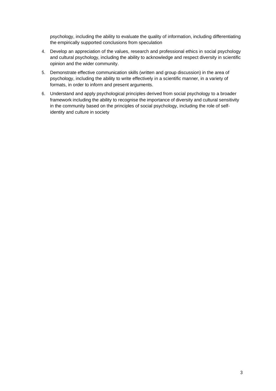psychology, including the ability to evaluate the quality of information, including differentiating the empirically supported conclusions from speculation

- 4. Develop an appreciation of the values, research and professional ethics in social psychology and cultural psychology, including the ability to acknowledge and respect diversity in scientific opinion and the wider community.
- 5. Demonstrate effective communication skills (written and group discussion) in the area of psychology, including the ability to write effectively in a scientific manner, in a variety of formats, in order to inform and present arguments.
- 6. Understand and apply psychological principles derived from social psychology to a broader framework including the ability to recognise the importance of diversity and cultural sensitivity in the community based on the principles of social psychology, including the role of selfidentity and culture in society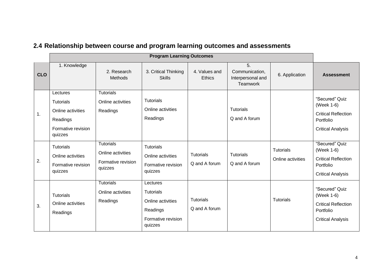|            | <b>Program Learning Outcomes</b>                                                               |                                                                        |                                                                                                |                                   |                                                       |                                       |                                                                                                     |
|------------|------------------------------------------------------------------------------------------------|------------------------------------------------------------------------|------------------------------------------------------------------------------------------------|-----------------------------------|-------------------------------------------------------|---------------------------------------|-----------------------------------------------------------------------------------------------------|
| <b>CLO</b> | 1. Knowledge                                                                                   | 2. Research<br><b>Methods</b>                                          | 3. Critical Thinking<br><b>Skills</b>                                                          | 4. Values and<br><b>Ethics</b>    | 5.<br>Communication,<br>Interpersonal and<br>Teamwork | 6. Application                        | <b>Assessment</b>                                                                                   |
| 1.         | Lectures<br><b>Tutorials</b><br>Online activities<br>Readings<br>Formative revision<br>quizzes | <b>Tutorials</b><br>Online activities<br>Readings                      | <b>Tutorials</b><br>Online activities<br>Readings                                              |                                   | <b>Tutorials</b><br>Q and A forum                     |                                       | "Secured" Quiz<br>(Week 1-6)<br><b>Critical Reflection</b><br>Portfolio<br><b>Critical Analysis</b> |
| 2.         | <b>Tutorials</b><br>Online activities<br>Formative revision<br>quizzes                         | <b>Tutorials</b><br>Online activities<br>Formative revision<br>quizzes | <b>Tutorials</b><br>Online activities<br>Formative revision<br>quizzes                         | <b>Tutorials</b><br>Q and A forum | <b>Tutorials</b><br>Q and A forum                     | <b>Tutorials</b><br>Online activities | "Secured" Quiz<br>(Week 1-6)<br><b>Critical Reflection</b><br>Portfolio<br><b>Critical Analysis</b> |
| 3.         | <b>Tutorials</b><br>Online activities<br>Readings                                              | <b>Tutorials</b><br>Online activities<br>Readings                      | Lectures<br><b>Tutorials</b><br>Online activities<br>Readings<br>Formative revision<br>quizzes | <b>Tutorials</b><br>Q and A forum |                                                       | <b>Tutorials</b>                      | "Secured" Quiz<br>(Week 1-6)<br><b>Critical Reflection</b><br>Portfolio<br><b>Critical Analysis</b> |

# **2.4 Relationship between course and program learning outcomes and assessments**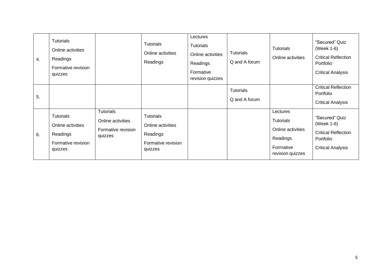| 4. | <b>Tutorials</b><br>Online activities<br>Readings<br>Formative revision<br>quizzes |                                                                        | <b>Tutorials</b><br>Online activities<br>Readings                           | Lectures<br><b>Tutorials</b><br>Online activities<br>Readings<br>Formative<br>revision quizzes | <b>Tutorials</b><br>Q and A forum | <b>Tutorials</b><br>Online activities                                                   | "Secured" Quiz<br>(Week 1-6)<br><b>Critical Reflection</b><br>Portfolio<br><b>Critical Analysis</b> |
|----|------------------------------------------------------------------------------------|------------------------------------------------------------------------|-----------------------------------------------------------------------------|------------------------------------------------------------------------------------------------|-----------------------------------|-----------------------------------------------------------------------------------------|-----------------------------------------------------------------------------------------------------|
| 5. |                                                                                    |                                                                        |                                                                             |                                                                                                | <b>Tutorials</b><br>Q and A forum |                                                                                         | <b>Critical Reflection</b><br>Portfolio<br><b>Critical Analysis</b>                                 |
| 6. | <b>Tutorials</b><br>Online activities<br>Readings<br>Formative revision<br>quizzes | <b>Tutorials</b><br>Online activities<br>Formative revision<br>quizzes | Tutorials<br>Online activities<br>Readings<br>Formative revision<br>quizzes |                                                                                                |                                   | Lectures<br>Tutorials<br>Online activities<br>Readings<br>Formative<br>revision quizzes | "Secured" Quiz<br>(Week 1-6)<br><b>Critical Reflection</b><br>Portfolio<br><b>Critical Analysis</b> |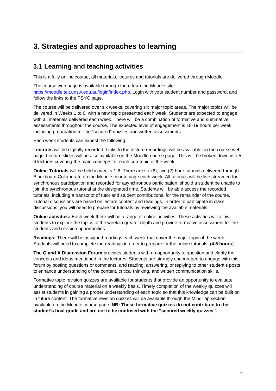# **3. Strategies and approaches to learning**

#### **3.1 Learning and teaching activities**

This is a fully online course, all materials, lectures and tutorials are delivered through Moodle.

The course web page is available through the e-learning Moodle site: [https://moodle.telt.unsw.edu.au/login/index.php.](https://moodle.telt.unsw.edu.au/login/index.php) Login with your student number and password, and follow the links to the PSYC page.

The course will be delivered over six weeks, covering six major topic areas. The major topics will be delivered in Weeks 1 to 6, with a new topic presented each week. Students are expected to engage with all materials delivered each week. There will be a combination of formative and summative assessments throughout the course. The expected level of engagement is 18-19 hours per week, including preparation for the "secured" quizzes and written assessments.

Each week students can expect the following:

**Lectures** will be digitally recorded. Links to the lecture recordings will be available on the course web page. Lecture slides will be also available on the Moodle course page. This will be broken down into 5- 6 lectures covering the main concepts for each sub-topic of the week

**Online Tutorials** will be held in weeks 1-6. There are six (6), two (2) hour tutorials delivered through Blackboard Collaborate on the Moodle course page each week. All tutorials will be live streamed for synchronous participation and recorded for asynchronous participation, should a student be unable to join the synchronous tutorial at the designated time. Students will be able access the recorded tutorials, including a transcript of tutor and student contributions, for the remainder of the course. Tutorial discussions are based on lecture content and readings. In order to participate in class discussions, you will need to prepare for tutorials by reviewing the available materials.

**Online activities:** Each week there will be a range of online activities. These activities will allow students to explore the topics of the week in greater depth and provide formative assessment for the students and revision opportunities.

**Readings:** There will be assigned readings each week that cover the major topic of the week. Students will need to complete the readings in order to prepare for the online tutorials. (**4.5 hours**).

**The Q and A Discussion Forum** provides students with an opportunity to question and clarify the concepts and ideas mentioned in the lectures. Students are strongly encouraged to engage with this forum by posting questions or comments, and reading, answering, or replying to other student's posts to enhance understanding of the content, critical thinking, and written communication skills.

Formative topic revision quizzes are available for students that provide an opportunity to evaluate understanding of course material on a weekly basis. Timely completion of the weekly quizzes will assist students in gaining a proper understanding of each topic so that this knowledge can be built on in future content. The formative revision quizzes will be available through the MindTap section available on the Moodle course page. **NB: These formative quizzes do not contribute to the student's final grade and are not to be confused with the "secured weekly quizzes".**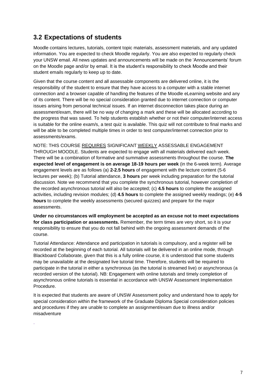### **3.2 Expectations of students**

.

Moodle contains lectures, tutorials, content topic materials, assessment materials, and any updated information. You are expected to check Moodle regularly. You are also expected to regularly check your UNSW email. All news updates and announcements will be made on the 'Announcements' forum on the Moodle page and/or by email. It is the student's responsibility to check Moodle and their student emails regularly to keep up to date.

Given that the course content and all assessable components are delivered online, it is the responsibility of the student to ensure that they have access to a computer with a stable internet connection and a browser capable of handling the features of the Moodle eLearning website and any of its content. There will be no special consideration granted due to internet connection or computer issues arising from personal technical issues. If an internet disconnection takes place during an assessment/exam, there will be no way of changing a mark and these will be allocated according to the progress that was saved. To help students establish whether or not their computer/internet access is suitable for the online exam/s, a test quiz is available. This quiz will not contribute to final marks and will be able to be completed multiple times in order to test computer/internet connection prior to assessments/exams.

NOTE: THIS COURSE REQUIRES SIGNIFICANT WEEKLY ASSESSABLE ENGAGEMENT THROUGH MOODLE. Students are expected to engage with all materials delivered each week. There will be a combination of formative and summative assessments throughout the course. **The expected level of engagement is on average 18-19 hours per week** (in the 6-week term). Average engagement levels are as follows (a) **2-2.5 hours** of engagement with the lecture content (5-6 lectures per week); (b) Tutorial attendance, **3 hours** per week including preparation for the tutorial discussion. Note we recommend that you complete the synchronous tutorial, however completion of the recorded asynchronous tutorial will also be accepted; (c) **4.5 hours** to complete the assigned activities, including revision modules; (d) **4.5 hours** to complete the assigned weekly readings; (e) **4-5 hours** to complete the weekly assessments (secured quizzes) and prepare for the major assessments.

**Under no circumstances will employment be accepted as an excuse not to meet expectations for class participation or assessments.** Remember, the term times are very short, so it is your responsibility to ensure that you do not fall behind with the ongoing assessment demands of the course.

Tutorial Attendance: Attendance and participation in tutorials is compulsory, and a register will be recorded at the beginning of each tutorial. All tutorials will be delivered in an online mode, through Blackboard Collaborate, given that this is a fully online course, it is understood that some students may be unavailable at the designated live tutorial time. Therefore, students will be required to participate in the tutorial in either a synchronous (as the tutorial is streamed live) or asynchronous (a recorded version of the tutorial). NB: Engagement with online tutorials and timely completion of asynchronous online tutorials is essential in accordance with UNSW Assessment Implementation Procedure.

It is expected that students are aware of UNSW Assessment policy and understand how to apply for special consideration within the framework of the Graduate Diploma Special consideration policies and procedures if they are unable to complete an assignment/exam due to illness and/or misadventure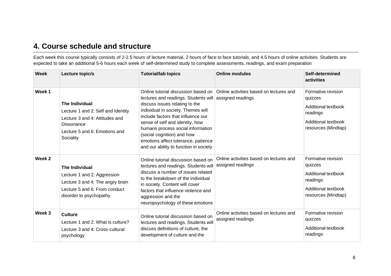## **4. Course schedule and structure**

Each week this course typically consists of 2-2.5 hours of lecture material, 2 hours of face to face tutorials, and 4.5 hours of online activities. Students are expected to take an additional 5-6 hours each week of self-determined study to complete assessments, readings, and exam preparation

| <b>Week</b> | Lecture topic/s                                                                                                                                           | <b>Tutorial/lab topics</b>                                                                                                                                                                                                                                                                                                                | <b>Online modules</b>                                                                              | Self-determined<br>activities                                                                                                |
|-------------|-----------------------------------------------------------------------------------------------------------------------------------------------------------|-------------------------------------------------------------------------------------------------------------------------------------------------------------------------------------------------------------------------------------------------------------------------------------------------------------------------------------------|----------------------------------------------------------------------------------------------------|------------------------------------------------------------------------------------------------------------------------------|
| Week 1      | <b>The Individual</b><br>Lecture 1 and 2: Self and Identity<br>Lecture 3 and 4: Attitudes and<br>Dissonance<br>Lecture 5 and 6: Emotions and<br>Sociality | lectures and readings. Students will<br>discuss issues relating to the<br>individual in society. Themes will<br>include factors that influence our<br>sense of self and identity, how<br>humans process social information<br>(social cognition) and how<br>emotions affect tolerance, patience<br>and our ability to function in society | Online tutorial discussion based on   Online activities based on lectures and<br>assigned readings | Formative revision<br>quizzes<br>Additional textbook<br>readings<br>Additional textbook<br>resources (Mindtap)               |
| Week 2      | <b>The Individual</b><br>Lecture 1 and 2: Aggression<br>Lecture 3 and 4: The angry brain<br>Lecture 5 and 6: From conduct<br>disorder to psychopathy      | Online tutorial discussion based on<br>lectures and readings. Students will<br>discuss a number of issues related<br>to the breakdown of the individual<br>in society. Content will cover<br>factors that influence violence and<br>aggression and the<br>neuropsychology of these emotions                                               | Online activities based on lectures and<br>assigned readings                                       | Formative revision<br>quizzes<br><b>Additional textbook</b><br>readings<br><b>Additional textbook</b><br>resources (Mindtap) |
| Week 3      | <b>Culture</b><br>Lecture 1 and 2: What is culture?<br>Lecture 3 and 4: Cross-cultural<br>psychology                                                      | Online tutorial discussion based on<br>lectures and readings. Students will<br>discuss definitions of culture, the<br>development of culture and the                                                                                                                                                                                      | Online activities based on lectures and<br>assigned readings                                       | Formative revision<br>quizzes<br>Additional textbook<br>readings                                                             |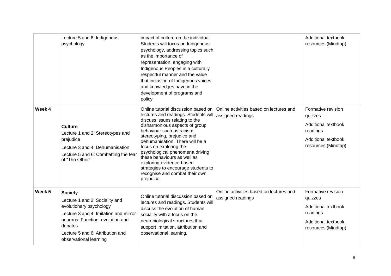|        | Lecture 5 and 6: Indigenous<br>psychology                                                                                                                                                                                         | impact of culture on the individual.<br>Students will focus on Indigenous<br>psychology, addressing topics such<br>as the importance of<br>representation, engaging with<br>Indigenous Peoples in a culturally<br>respectful manner and the value<br>that inclusion of Indigenous voices<br>and knowledges have in the<br>development of programs and                                                                                                                  |                                                              | Additional textbook<br>resources (Mindtap)                                                                     |
|--------|-----------------------------------------------------------------------------------------------------------------------------------------------------------------------------------------------------------------------------------|------------------------------------------------------------------------------------------------------------------------------------------------------------------------------------------------------------------------------------------------------------------------------------------------------------------------------------------------------------------------------------------------------------------------------------------------------------------------|--------------------------------------------------------------|----------------------------------------------------------------------------------------------------------------|
| Week 4 | <b>Culture</b><br>Lecture 1 and 2: Stereotypes and<br>prejudice<br>Lecture 3 and 4: Dehumanisation<br>Lecture 5 and 6: Combatting the fear<br>of "The Other"                                                                      | policy<br>Online tutorial discussion based on<br>lectures and readings. Students will<br>discuss issues relating to the<br>disharmonious aspects of group<br>behaviour such as racism,<br>stereotyping, prejudice and<br>dehumanisation. There will be a<br>focus on exploring the<br>psychological phenomena driving<br>these behaviours as well as<br>exploring evidence-based<br>strategies to encourage students to<br>recognise and combat their own<br>prejudice | Online activities based on lectures and<br>assigned readings | Formative revision<br>quizzes<br>Additional textbook<br>readings<br>Additional textbook<br>resources (Mindtap) |
| Week 5 | <b>Society</b><br>Lecture 1 and 2: Sociality and<br>evolutionary psychology<br>Lecture 3 and 4: Imitation and mirror<br>neurons: Function, evolution and<br>debates<br>Lecture 5 and 6: Attribution and<br>observational learning | Online tutorial discussion based on<br>lectures and readings. Students will<br>discuss the evolution of human<br>sociality with a focus on the<br>neurobiological structures that<br>support imitation, attribution and<br>observational learning.                                                                                                                                                                                                                     | Online activities based on lectures and<br>assigned readings | Formative revision<br>quizzes<br>Additional textbook<br>readings<br>Additional textbook<br>resources (Mindtap) |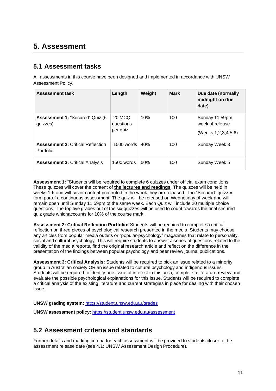## **5. Assessment**

#### **5.1 Assessment tasks**

All assessments in this course have been designed and implemented in accordance with UNSW Assessment Policy.

| <b>Assessment task</b>                                | Length                          | Weight | <b>Mark</b> | Due date (normally<br>midnight on due<br>date)           |
|-------------------------------------------------------|---------------------------------|--------|-------------|----------------------------------------------------------|
| Assessment 1: "Secured" Quiz (6<br>quizzes)           | 20 MCQ<br>questions<br>per quiz | 10%    | 100         | Sunday 11:59pm<br>week of release<br>(Weeks 1,2,3,4,5,6) |
| <b>Assessment 2: Critical Reflection</b><br>Portfolio | $1500$ words                    | 40%    | 100         | Sunday Week 3                                            |
| <b>Assessment 3: Critical Analysis</b>                | $1500$ words                    | 50%    | 100         | Sunday Week 5                                            |

**Assessment 1:** "Students will be required to complete 6 quizzes under official exam conditions. These quizzes will cover the content of **the lectures and readings**. The quizzes will be held in weeks 1-6 and will cover content presented in the week they are released. The "Secured" quizzes form partof a continuous assessment. The quiz will be released on Wednesday of week and will remain open until Sunday 11:59pm of the same week. Each Quiz will include 20 multiple choice questions. The top five grades out of the six quizzes will be used to count towards the final secured quiz grade whichaccounts for 10% of the course mark.

**Assessment 2: Critical Reflection Portfolio:** Students will be required to complete a critical reflection on three pieces of psychological research presented in the media. Students may choose any articles from popular media outlets or "popular-psychology" magazines that relate to personality, social and cultural psychology. This will require students to answer a series of questions related to the validity of the media reports, find the original research article and reflect on the difference in the presentation of the findings between popular psychology and peer review journal publications.

**Assessment 3: Critical Analysis:** Students will be required to pick an issue related to a minority group in Australian society OR an issue related to cultural psychology and indigenous issues. Students will be required to identify one issue of interest in this area, complete a literature review and evaluate the possible psychological explanations for this issue. Students will be required to complete a critical analysis of the existing literature and current strategies in place for dealing with their chosen issue.

**UNSW grading system:** <https://student.unsw.edu.au/grades>

**UNSW assessment policy:** <https://student.unsw.edu.au/assessment>

## **5.2 Assessment criteria and standards**

Further details and marking criteria for each assessment will be provided to students closer to the assessment release date (see 4.1: UNSW Assessment Design Procedure).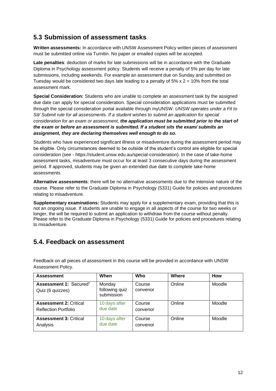### **5.3 Submission of assessment tasks**

**Written assessments:** In accordance with UNSW Assessment Policy written pieces of assessment must be submitted online via Turnitin. No paper or emailed copies will be accepted.

**Late penalties**: deduction of marks for late submissions will be in accordance with the Graduate Diploma in Psychology assessment policy. Students will receive a penalty of 5% per day for late submissions, including weekends. For example an assessment due on Sunday and submitted on Tuesday would be considered two days late leading to a penalty of  $5\% \times 2 = 10\%$  from the total assessment mark.

**Special Consideration:** Students who are unable to complete an assessment task by the assigned due date can apply for special consideration. Special consideration applications must be submitted through the special consideration portal available through myUNSW. *UNSW operates under a Fit to Sit/ Submit rule for all assessments. If a student wishes to submit an application for special consideration for an exam or assessment, the application must be submitted prior to the start of the exam or before an assessment is submitted. If a student sits the exam/ submits an assignment, they are declaring themselves well enough to do so.*

Students who have experienced significant illness or misadventure during the assessment period may be eligible. Only circumstances deemed to be outside of the student's control are eligible for special consideration (see - https://student.unsw.edu.au/special-consideration). In the case of take-home assessment tasks, misadventure must occur for at least 3 consecutive days during the assessment period. If approved, students may be given an extended due date to complete take-home assessments

**Alternative assessments**: there will be no alternative assessments due to the intensive nature of the course. Please refer to the Graduate Diploma in Psychology (5331) Guide for policies and procedures relating to misadventure.

**Supplementary examinations:** Students may apply for a supplementary exam, providing that this is not an ongoing issue. If students are unable to engage in all aspects of the course for two weeks or longer, the will be required to submit an application to withdraw from the course without penalty. Please refer to the Graduate Diploma in Psychology (5331) Guide for policies and procedures relating to misadventure.

## **5.4. Feedback on assessment**

Feedback on all pieces of assessment in this course will be provided in accordance with UNSW Assessment Policy.

| <b>Assessment</b>                                            | When                                   | Who                | Where  | How    |
|--------------------------------------------------------------|----------------------------------------|--------------------|--------|--------|
| Assessment 1: Secured"<br>Quiz (6 quizzes)                   | Monday<br>following quiz<br>submission | Course<br>convenor | Online | Moodle |
| <b>Assessment 2: Critical</b><br><b>Reflection Portfolio</b> | 10 days after<br>due date              | Course<br>convenor | Online | Moodle |
| <b>Assessment 3: Critical</b><br>Analysis                    | 10 days after<br>due date              | Course<br>convenor | Online | Moodle |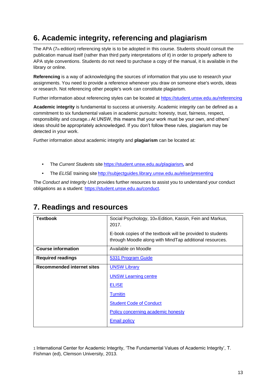# **6. Academic integrity, referencing and plagiarism**

The APA (7th edition) referencing style is to be adopted in this course. Students should consult the publication manual itself (rather than third party interpretations of it) in order to properly adhere to APA style conventions. Students do not need to purchase a copy of the manual, it is available in the library or online.

**Referencing** is a way of acknowledging the sources of information that you use to research your [assignments.](http://www.apastyle.org/manual/index.aspx) You need to provide a reference whenever you draw on someone else's words, ideas or research. Not referencing other people's work can constitute plagiarism.

Further information about referencing styles can be located at https://student.unsw.edu.au/referencing

**Academic integrity** is fundamental to success at university. Academic integrity can be defined as a commitment to six fundamental values in academic pursuits**:** [honesty, trust, fairness, respect,](https://student.unsw.edu.au/referencing) responsibility and courage.*1* At UNSW, this means that your work must be your own, and others' ideas should be appropriately acknowledged. If you don't follow these rules, plagiarism may be detected in your work.

Further information about academic integrity and **plagiarism** can be located at:

- The *Current Students* site <https://student.unsw.edu.au/plagiarism>*,* and
- The *ELISE* training site http://subjectguides.library.unsw.edu.au/elise/presenting

The *Conduct and Integrity Unit* provides further resources to assist you to understand your conduct obligations as a student: [https://student.unsw.edu.au/conduct.](https://student.unsw.edu.au/conduct)

| <b>Textbook</b>                   | Social Psychology, 10th Edition, Kassin, Fein and Markus,<br>2017.                                                    |
|-----------------------------------|-----------------------------------------------------------------------------------------------------------------------|
|                                   | E-book copies of the textbook will be provided to students<br>through Moodle along with MindTap additional resources. |
| <b>Course information</b>         | Available on Moodle                                                                                                   |
| <b>Required readings</b>          | 5331 Program Guide                                                                                                    |
| <b>Recommended internet sites</b> | <b>UNSW Library</b>                                                                                                   |
|                                   | <b>UNSW Learning centre</b>                                                                                           |
|                                   | <b>ELISE</b>                                                                                                          |
|                                   | <b>Turnitin</b>                                                                                                       |
|                                   | <b>Student Code of Conduct</b>                                                                                        |
|                                   | Policy concerning academic honesty                                                                                    |
|                                   | <b>Email policy</b>                                                                                                   |

## **7. Readings and resources**

1 International Center for Academic Integrity, 'The Fundamental Values of Academic Integrity', T. Fishman (ed), Clemson University, 2013.